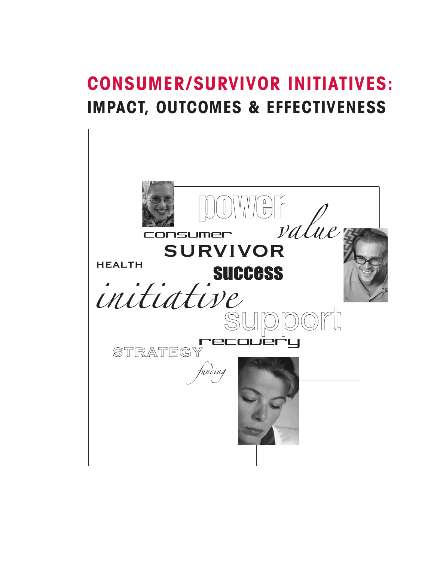# **CONSUMER/SURVIVOR INITIATIVES: IMPACT, OUTCOMES & EFFECTIVENESS**

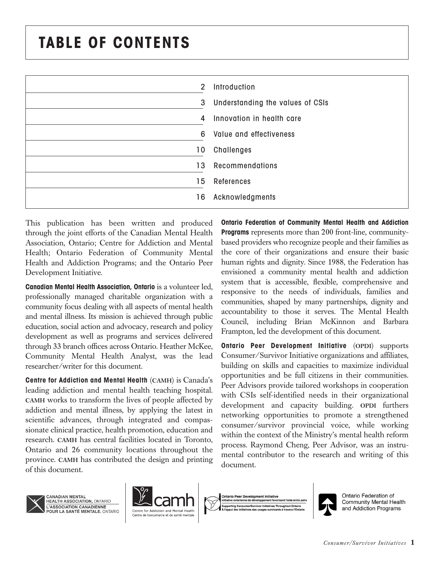# **TABLE OF CONTENTS**

| 2  | Introduction                     |
|----|----------------------------------|
| 3  | Understanding the values of CSIs |
| 4  | Innovation in health care        |
| 6  | Value and effectiveness          |
| 10 | Challenges                       |
| 13 | Recommendations                  |
| 15 | <b>References</b>                |
| 16 | Acknowledgments                  |

This publication has been written and produced through the joint efforts of the Canadian Mental Health Association, Ontario; Centre for Addiction and Mental Health; Ontario Federation of Community Mental Health and Addiction Programs; and the Ontario Peer Development Initiative.

**Canadian Mental Health Association, Ontario** is a volunteer led, professionally managed charitable organization with a community focus dealing with all aspects of mental health and mental illness. Its mission is achieved through public education, social action and advocacy, research and policy development as well as programs and services delivered through 33 branch offices across Ontario. Heather McKee, Community Mental Health Analyst, was the lead researcher/writer for this document.

**Centre for Addiction and Mental Health** (**CAMH**) is Canada's leading addiction and mental health teaching hospital. **CAMH** works to transform the lives of people affected by addiction and mental illness, by applying the latest in scientific advances, through integrated and compassionate clinical practice, health promotion, education and research. **CAMH** has central facilities located in Toronto, Ontario and 26 community locations throughout the province. **CAMH** has contributed the design and printing of this document.

**Ontario Federation of Community Mental Health and Addiction Programs** represents more than 200 front-line, communitybased providers who recognize people and their families as the core of their organizations and ensure their basic human rights and dignity. Since 1988, the Federation has envisioned a community mental health and addiction system that is accessible, flexible, comprehensive and responsive to the needs of individuals, families and communities, shaped by many partnerships, dignity and accountability to those it serves. The Mental Health Council, including Brian McKinnon and Barbara Frampton, led the development of this document.

**Ontario Peer Development Initiative** (**OPDI**) supports Consumer/Survivor Initiative organizations and affiliates, building on skills and capacities to maximize individual opportunities and be full citizens in their communities. Peer Advisors provide tailored workshops in cooperation with CSIs self-identified needs in their organizational development and capacity building. **OPDI** furthers networking opportunities to promote a strengthened consumer/survivor provincial voice, while working within the context of the Ministry's mental health reform process. Raymond Cheng, Peer Advisor, was an instrumental contributor to the research and writing of this document.



**CANADIAN MENTAL** HEALTH ASSOCIATION, ONTARIO L'ASSOCIATION CANADIENNE POUR LA SANTÉ MENTALE, ONTARIO





Ontario Federation of Community Mental Health and Addiction Programs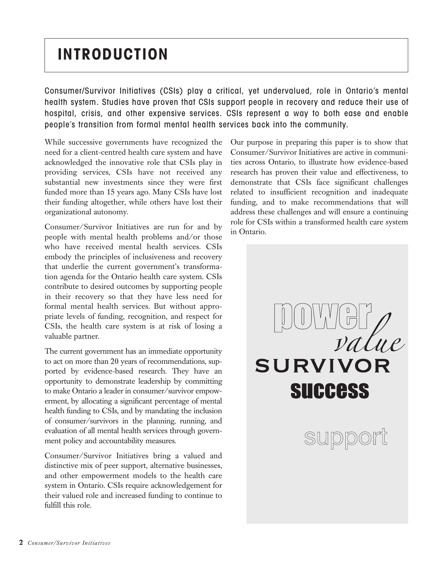# **INTRODUCTION**

Consumer/Survivor Initiatives (CSIs) play a critical, yet undervalued, role in Ontario's mental health system. Studies have proven that CSIs support people in recovery and reduce their use of hospital, crisis, and other expensive services. CSIs represent a way to both ease and enable people's transition from formal mental health services back into the community.

While successive governments have recognized the need for a client-centred health care system and have acknowledged the innovative role that CSIs play in providing services, CSIs have not received any substantial new investments since they were first funded more than 15 years ago. Many CSIs have lost their funding altogether, while others have lost their organizational autonomy.

Consumer/Survivor Initiatives are run for and by people with mental health problems and/or those who have received mental health services. CSIs embody the principles of inclusiveness and recovery that underlie the current government's transformation agenda for the Ontario health care system. CSIs contribute to desired outcomes by supporting people in their recovery so that they have less need for formal mental health services. But without appropriate levels of funding, recognition, and respect for CSIs, the health care system is at risk of losing a valuable partner.

The current government has an immediate opportunity to act on more than 20 years of recommendations, supported by evidence-based research. They have an opportunity to demonstrate leadership by committing to make Ontario a leader in consumer/survivor empowerment, by allocating a significant percentage of mental health funding to CSIs, and by mandating the inclusion of consumer/survivors in the planning, running, and evaluation of all mental health services through government policy and accountability measures.

Consumer/Survivor Initiatives bring a valued and distinctive mix of peer support, alternative businesses, and other empowerment models to the health care system in Ontario. CSIs require acknowledgement for their valued role and increased funding to continue to fulfill this role.

Our purpose in preparing this paper is to show that Consumer/Survivor Initiatives are active in communities across Ontario, to illustrate how evidence-based research has proven their value and effectiveness, to demonstrate that CSIs face significant challenges related to insufficient recognition and inadequate funding, and to make recommendations that will address these challenges and will ensure a continuing role for CSIs within a transformed health care system in Ontario.

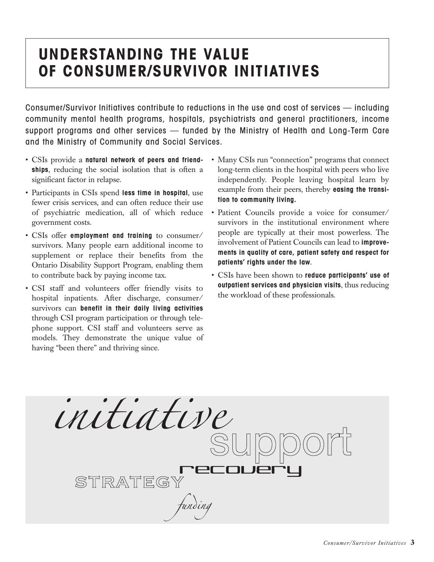## **UNDERSTANDING THE VALUE OF CONSUMER/SURVIVOR INITIATIVES**

Consumer/Survivor Initiatives contribute to reductions in the use and cost of services — including community mental health programs, hospitals, psychiatrists and general practitioners, income support programs and other services — funded by the Ministry of Health and Long-Term Care and the Ministry of Community and Social Services.

- CSIs provide a **natural network of peers and friendships**, reducing the social isolation that is often a significant factor in relapse.
- Participants in CSIs spend **less time in hospital**, use fewer crisis services, and can often reduce their use of psychiatric medication, all of which reduce government costs.
- CSIs offer **employment and training** to consumer/ survivors. Many people earn additional income to supplement or replace their benefits from the Ontario Disability Support Program, enabling them to contribute back by paying income tax.
- CSI staff and volunteers offer friendly visits to hospital inpatients. After discharge, consumer/ survivors can **benefit in their daily living activities** through CSI program participation or through telephone support. CSI staff and volunteers serve as models. They demonstrate the unique value of having "been there" and thriving since.
- Many CSIs run "connection" programs that connect long-term clients in the hospital with peers who live independently. People leaving hospital learn by example from their peers, thereby **easing the transition to community living.**
- Patient Councils provide a voice for consumer/ survivors in the institutional environment where people are typically at their most powerless. The involvement of Patient Councils can lead to **improvements in quality of care, patient safety and respect for patients' rights under the law**.
- CSIs have been shown to **reduce participants' use of outpatient services and physician visits**, thus reducing the workload of these professionals.

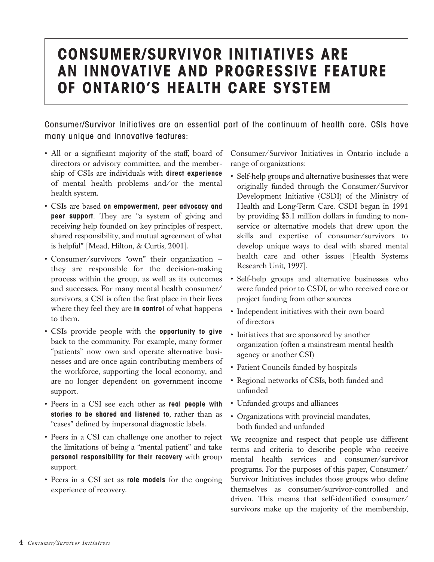### **CONSUMER/SURVIVOR INITIATIVES ARE AN INNOVATIVE AND PROGRESSIVE FEATURE OF ONTARIO'S HEALTH CARE SYSTEM**

Consumer/Survivor Initiatives are an essential part of the continuum of health care. CSIs have many unique and innovative features:

- All or a significant majority of the staff, board of directors or advisory committee, and the membership of CSIs are individuals with **direct experience** of mental health problems and/or the mental health system.
- CSIs are based **on empowerment, peer advocacy and peer support**. They are "a system of giving and receiving help founded on key principles of respect, shared responsibility, and mutual agreement of what is helpful" [Mead, Hilton, & Curtis, 2001].
- Consumer/survivors "own" their organization they are responsible for the decision-making process within the group, as well as its outcomes and successes. For many mental health consumer/ survivors, a CSI is often the first place in their lives where they feel they are **in control** of what happens to them.
- CSIs provide people with the **opportunity to give** back to the community. For example, many former "patients" now own and operate alternative businesses and are once again contributing members of the workforce, supporting the local economy, and are no longer dependent on government income support.
- Peers in a CSI see each other as **real people with stories to be shared and listened to**, rather than as "cases" defined by impersonal diagnostic labels.
- Peers in a CSI can challenge one another to reject the limitations of being a "mental patient" and take **personal responsibility for their recovery** with group support.
- Peers in a CSI act as **role models** for the ongoing experience of recovery.

Consumer/Survivor Initiatives in Ontario include a range of organizations:

- Self-help groups and alternative businesses that were originally funded through the Consumer/Survivor Development Initiative (CSDI) of the Ministry of Health and Long-Term Care. CSDI began in 1991 by providing \$3.1 million dollars in funding to nonservice or alternative models that drew upon the skills and expertise of consumer/survivors to develop unique ways to deal with shared mental health care and other issues [Health Systems Research Unit, 1997].
- Self-help groups and alternative businesses who were funded prior to CSDI, or who received core or project funding from other sources
- Independent initiatives with their own board of directors
- Initiatives that are sponsored by another organization (often a mainstream mental health agency or another CSI)
- Patient Councils funded by hospitals
- Regional networks of CSIs, both funded and unfunded
- Unfunded groups and alliances
- Organizations with provincial mandates, both funded and unfunded

We recognize and respect that people use different terms and criteria to describe people who receive mental health services and consumer/survivor programs. For the purposes of this paper, Consumer/ Survivor Initiatives includes those groups who define themselves as consumer/survivor-controlled and driven. This means that self-identified consumer/ survivors make up the majority of the membership,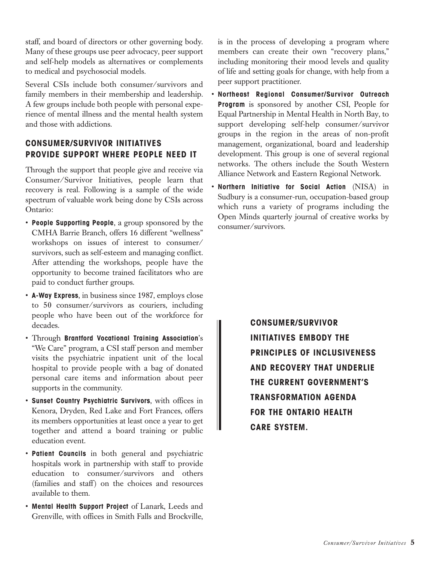staff, and board of directors or other governing body. Many of these groups use peer advocacy, peer support and self-help models as alternatives or complements to medical and psychosocial models.

Several CSIs include both consumer/survivors and family members in their membership and leadership. A few groups include both people with personal experience of mental illness and the mental health system and those with addictions.

#### **CONSUMER/SURVIVOR INITIATIVES PROVIDE SUPPORT WHERE PEOPLE NEED IT**

Through the support that people give and receive via Consumer/Survivor Initiatives, people learn that recovery is real. Following is a sample of the wide spectrum of valuable work being done by CSIs across Ontario:

- **People Supporting People**, a group sponsored by the CMHA Barrie Branch, offers 16 different "wellness" workshops on issues of interest to consumer/ survivors, such as self-esteem and managing conflict. After attending the workshops, people have the opportunity to become trained facilitators who are paid to conduct further groups.
- **A-Way Express**, in business since 1987, employs close to 50 consumer/survivors as couriers, including people who have been out of the workforce for decades.
- Through **Brantford Vocational Training Association**'s "We Care" program, a CSI staff person and member visits the psychiatric inpatient unit of the local hospital to provide people with a bag of donated personal care items and information about peer supports in the community.
- **Sunset Country Psychiatric Survivors**, with offices in Kenora, Dryden, Red Lake and Fort Frances, offers its members opportunities at least once a year to get together and attend a board training or public education event.
- **Patient Councils** in both general and psychiatric hospitals work in partnership with staff to provide education to consumer/survivors and others (families and staff) on the choices and resources available to them.
- **Mental Health Support Project** of Lanark, Leeds and Grenville, with offices in Smith Falls and Brockville,

is in the process of developing a program where members can create their own "recovery plans," including monitoring their mood levels and quality of life and setting goals for change, with help from a peer support practitioner.

- **Northeast Regional Consumer/Survivor Outreach Program** is sponsored by another CSI, People for Equal Partnership in Mental Health in North Bay, to support developing self-help consumer/survivor groups in the region in the areas of non-profit management, organizational, board and leadership development. This group is one of several regional networks. The others include the South Western Alliance Network and Eastern Regional Network.
- **Northern Initiative for Social Action** (NISA) in Sudbury is a consumer-run, occupation-based group which runs a variety of programs including the Open Minds quarterly journal of creative works by consumer/survivors.

**CONSUMER/SURVIVOR INITIATIVES EMBODY THE PRINCIPLES OF INCLUSIVENESS AND RECOVERY THAT UNDERLIE THE CURRENT GOVERNMENT'S TRANSFORMATION AGENDA FOR THE ONTARIO HEALTH CARE SYSTEM.**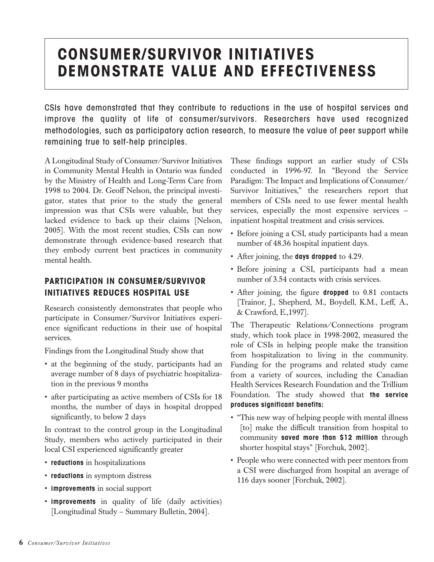## **CONSUMER/SURVIVOR INITIATIVES DEMONSTRATE VALUE AND EFFECTIVENESS**

CSIs have demonstrated that they contribute to reductions in the use of hospital services and improve the quality of life of consumer/survivors. Researchers have used recognized methodologies, such as participatory action research, to measure the value of peer support while remaining true to self-help principles.

A Longitudinal Study of Consumer/Survivor Initiatives in Community Mental Health in Ontario was funded by the Ministry of Health and Long-Term Care from 1998 to 2004. Dr. Geoff Nelson, the principal investigator, states that prior to the study the general impression was that CSIs were valuable, but they lacked evidence to back up their claims [Nelson, 2005]. With the most recent studies, CSIs can now demonstrate through evidence-based research that they embody current best practices in community mental health.

#### **PARTICIPATION IN CONSUMER/SURVIVOR INITIATIVES REDUCES HOSPITAL USE**

Research consistently demonstrates that people who participate in Consumer/Survivor Initiatives experience significant reductions in their use of hospital services.

Findings from the Longitudinal Study show that

- at the beginning of the study, participants had an average number of 8 days of psychiatric hospitalization in the previous 9 months
- after participating as active members of CSIs for 18 months, the number of days in hospital dropped significantly, to below 2 days

In contrast to the control group in the Longitudinal Study, members who actively participated in their local CSI experienced significantly greater

- **reductions** in hospitalizations
- **reductions** in symptom distress
- **improvements** in social support
- **improvements** in quality of life (daily activities) [Longitudinal Study – Summary Bulletin, 2004].

These findings support an earlier study of CSIs conducted in 1996-97. In "Beyond the Service Paradigm: The Impact and Implications of Consumer/ Survivor Initiatives," the researchers report that members of CSIs need to use fewer mental health services, especially the most expensive services inpatient hospital treatment and crisis services.

- Before joining a CSI, study participants had a mean number of 48.36 hospital inpatient days.
- After joining, the **days dropped** to 4.29.
- Before joining a CSI, participants had a mean number of 3.54 contacts with crisis services.
- After joining, the figure **dropped** to 0.81 contacts [Trainor, J., Shepherd, M., Boydell, K.M., Leff, A., & Crawford, E.,1997].

The Therapeutic Relations/Connections program study, which took place in 1998-2002, measured the role of CSIs in helping people make the transition from hospitalization to living in the community. Funding for the programs and related study came from a variety of sources, including the Canadian Health Services Research Foundation and the Trillium Foundation. The study showed that **the service produces significant benefits:**

- "This new way of helping people with mental illness [to] make the difficult transition from hospital to community **saved more than \$12 million** through shorter hospital stays" [Forchuk, 2002].
- People who were connected with peer mentors from a CSI were discharged from hospital an average of 116 days sooner [Forchuk, 2002].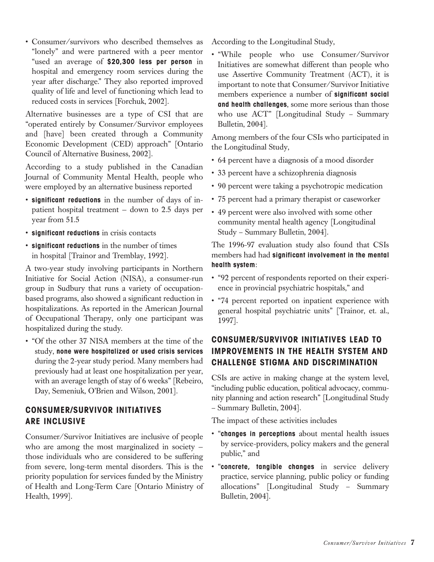• Consumer/survivors who described themselves as "lonely" and were partnered with a peer mentor "used an average of **\$20,300 less per person** in hospital and emergency room services during the year after discharge." They also reported improved quality of life and level of functioning which lead to reduced costs in services [Forchuk, 2002].

Alternative businesses are a type of CSI that are "operated entirely by Consumer/Survivor employees and [have] been created through a Community Economic Development (CED) approach" [Ontario Council of Alternative Business, 2002].

According to a study published in the Canadian Journal of Community Mental Health, people who were employed by an alternative business reported

- **significant reductions** in the number of days of inpatient hospital treatment — down to 2.5 days per year from 51.5
- **significant reductions** in crisis contacts
- **significant reductions** in the number of times in hospital [Trainor and Tremblay, 1992].

A two-year study involving participants in Northern Initiative for Social Action (NISA), a consumer-run group in Sudbury that runs a variety of occupationbased programs, also showed a significant reduction in hospitalizations. As reported in the American Journal of Occupational Therapy, only one participant was hospitalized during the study.

• "Of the other 37 NISA members at the time of the study, **none were hospitalized or used crisis services** during the 2-year study period. Many members had previously had at least one hospitalization per year, with an average length of stay of 6 weeks" [Rebeiro, Day, Semeniuk, O'Brien and Wilson, 2001].

### **CONSUMER/SURVIVOR INITIATIVES ARE INCLUSIVE**

Consumer/Survivor Initiatives are inclusive of people who are among the most marginalized in society those individuals who are considered to be suffering from severe, long-term mental disorders. This is the priority population for services funded by the Ministry of Health and Long-Term Care [Ontario Ministry of Health, 1999].

According to the Longitudinal Study,

• "While people who use Consumer/Survivor Initiatives are somewhat different than people who use Assertive Community Treatment (ACT), it is important to note that Consumer/Survivor Initiative members experience a number of **significant social and health challenges**, some more serious than those who use ACT" [Longitudinal Study – Summary Bulletin, 2004].

Among members of the four CSIs who participated in the Longitudinal Study,

- 64 percent have a diagnosis of a mood disorder
- 33 percent have a schizophrenia diagnosis
- 90 percent were taking a psychotropic medication
- 75 percent had a primary therapist or caseworker
- 49 percent were also involved with some other community mental health agency [Longitudinal Study – Summary Bulletin, 2004].

The 1996-97 evaluation study also found that CSIs members had had **significant involvement in the mental health system**:

- "92 percent of respondents reported on their experience in provincial psychiatric hospitals," and
- "74 percent reported on inpatient experience with general hospital psychiatric units" [Trainor, et. al., 1997].

### **CONSUMER/SURVIVOR INITIATIVES LEAD TO IMPROVEMENTS IN THE HEALTH SYSTEM AND CHALLENGE STIGMA AND DISCRIMINATION**

CSIs are active in making change at the system level, "including public education, political advocacy, community planning and action research" [Longitudinal Study – Summary Bulletin, 2004].

The impact of these activities includes

- "**changes in perceptions** about mental health issues by service-providers, policy makers and the general public," and
- "**concrete, tangible changes** in service delivery practice, service planning, public policy or funding allocations" [Longitudinal Study – Summary Bulletin, 2004].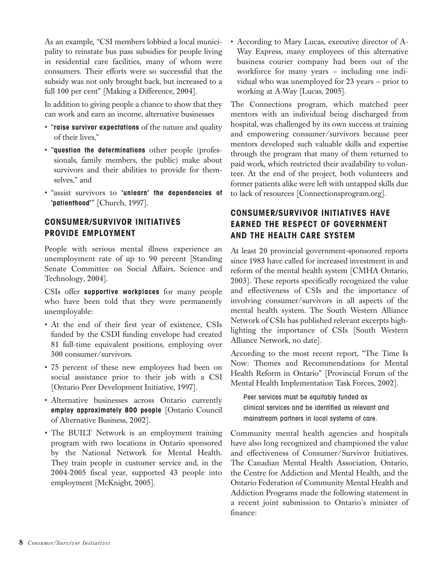As an example, "CSI members lobbied a local municipality to reinstate bus pass subsidies for people living in residential care facilities, many of whom were consumers. Their efforts were so successful that the subsidy was not only brought back, but increased to a full 100 per cent" [Making a Difference, 2004].

In addition to giving people a chance to show that they can work and earn an income, alternative businesses

- "**raise survivor expectations** of the nature and quality of their lives,"
- "**question the determinations** other people (professionals, family members, the public) make about survivors and their abilities to provide for themselves," and
- "assist survivors to **'unlearn' the dependencies of 'patienthood'**" [Church, 1997].

#### **CONSUMER/SURVIVOR INITIATIVES PROVIDE EMPLOYMENT**

People with serious mental illness experience an unemployment rate of up to 90 percent [Standing Senate Committee on Social Affairs, Science and Technology, 2004].

CSIs offer **supportive workplaces** for many people who have been told that they were permanently unemployable:

- At the end of their first year of existence, CSIs funded by the CSDI funding envelope had created 81 full-time equivalent positions, employing over 300 consumer/survivors.
- 75 percent of these new employees had been on social assistance prior to their job with a CSI [Ontario Peer Development Initiative, 1997].
- Alternative businesses across Ontario currently **employ approximately 800 people** [Ontario Council of Alternative Business, 2002].
- The BUILT Network is an employment training program with two locations in Ontario sponsored by the National Network for Mental Health. They train people in customer service and, in the 2004-2005 fiscal year, supported 43 people into employment [McKnight, 2005].

• According to Mary Lucas, executive director of A-Way Express, many employees of this alternative business courier company had been out of the workforce for many years — including one individual who was unemployed for 23 years — prior to working at A-Way [Lucas, 2005].

The Connections program, which matched peer mentors with an individual being discharged from hospital, was challenged by its own success at training and empowering consumer/survivors because peer mentors developed such valuable skills and expertise through the program that many of them returned to paid work, which restricted their availability to volunteer. At the end of the project, both volunteers and former patients alike were left with untapped skills due to lack of resources [Connectionsprogram.org].

#### **CONSUMER/SURVIVOR INITIATIVES HAVE EARNED THE RESPECT OF GOVERNMENT AND THE HEALTH CARE SYSTEM**

At least 20 provincial government-sponsored reports since 1983 have called for increased investment in and reform of the mental health system [CMHA Ontario, 2003]. These reports specifically recognized the value and effectiveness of CSIs and the importance of involving consumer/survivors in all aspects of the mental health system. The South Western Alliance Network of CSIs has published relevant excerpts highlighting the importance of CSIs [South Western Alliance Network, no date].

According to the most recent report, "The Time Is Now: Themes and Recommendations for Mental Health Reform in Ontario" [Provincial Forum of the Mental Health Implementation Task Forces, 2002].

Peer services must be equitably funded as clinical services and be identified as relevant and mainstream partners in local systems of care.

Community mental health agencies and hospitals have also long recognized and championed the value and effectiveness of Consumer/Survivor Initiatives. The Canadian Mental Health Association, Ontario, the Centre for Addiction and Mental Health, and the Ontario Federation of Community Mental Health and Addiction Programs made the following statement in a recent joint submission to Ontario's minister of finance: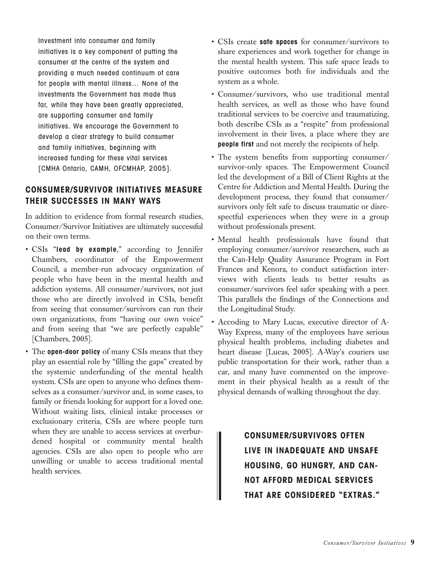Investment into consumer and family initiatives is a key component of putting the consumer at the centre of the system and providing a much needed continuum of care for people with mental illness… None of the investments the Government has made thus far, while they have been greatly appreciated, are supporting consumer and family initiatives. We encourage the Government to develop a clear strategy to build consumer and family initiatives, beginning with increased funding for these vital services [CMHA Ontario, CAMH, OFCMHAP, 2005].

#### **CONSUMER/SURVIVOR INITIATIVES MEASURE THEIR SUCCESSES IN MANY WAYS**

In addition to evidence from formal research studies, Consumer/Survivor Initiatives are ultimately successful on their own terms.

- CSIs "**lead by example**," according to Jennifer Chambers, coordinator of the Empowerment Council, a member-run advocacy organization of people who have been in the mental health and addiction systems. All consumer/survivors, not just those who are directly involved in CSIs, benefit from seeing that consumer/survivors can run their own organizations, from "having our own voice" and from seeing that "we are perfectly capable" [Chambers, 2005].
- The **open-door policy** of many CSIs means that they play an essential role by "filling the gaps" created by the systemic underfunding of the mental health system. CSIs are open to anyone who defines themselves as a consumer/survivor and, in some cases, to family or friends looking for support for a loved one. Without waiting lists, clinical intake processes or exclusionary criteria, CSIs are where people turn when they are unable to access services at overburdened hospital or community mental health agencies. CSIs are also open to people who are unwilling or unable to access traditional mental health services.
- CSIs create **safe spaces** for consumer/survivors to share experiences and work together for change in the mental health system. This safe space leads to positive outcomes both for individuals and the system as a whole.
- Consumer/survivors, who use traditional mental health services, as well as those who have found traditional services to be coercive and traumatizing, both describe CSIs as a "respite" from professional involvement in their lives, a place where they are **people first** and not merely the recipients of help.
- The system benefits from supporting consumer/ survivor-only spaces. The Empowerment Council led the development of a Bill of Client Rights at the Centre for Addiction and Mental Health. During the development process, they found that consumer/ survivors only felt safe to discuss traumatic or disrespectful experiences when they were in a group without professionals present.
- Mental health professionals have found that employing consumer/survivor researchers, such as the Can-Help Quality Assurance Program in Fort Frances and Kenora, to conduct satisfaction interviews with clients leads to better results as consumer/survivors feel safer speaking with a peer. This parallels the findings of the Connections and the Longitudinal Study.
- Accoding to Mary Lucas, executive director of A-Way Express, many of the employees have serious physical health problems, including diabetes and heart disease [Lucas, 2005]. A-Way's couriers use public transportation for their work, rather than a car, and many have commented on the improvement in their physical health as a result of the physical demands of walking throughout the day.

**CONSUMER/SURVIVORS OFTEN LIVE IN INADEQUATE AND UNSAFE HOUSING, GO HUNGRY, AND CAN-NOT AFFORD MEDICAL SERVICES THAT ARE CONSIDERED "EXTRAS."**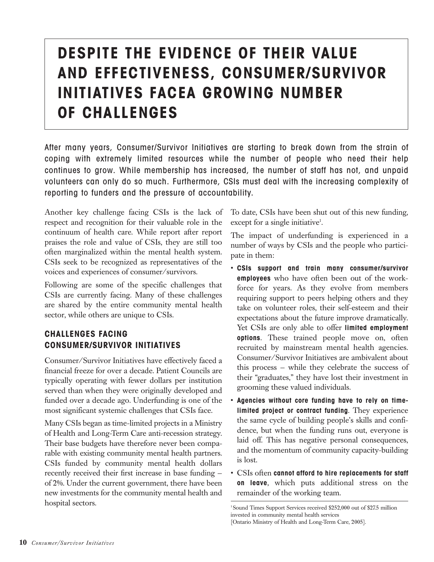# **DESPITE THE EVIDENCE OF THEIR VALUE AND EFFECTIVENESS, CONSUMER/SURVIVOR INITIATIVES FACEA GROWING NUMBER OF CHALLENGES**

After many years, Consumer/Survivor Initiatives are starting to break down from the strain of coping with extremely limited resources while the number of people who need their help continues to grow. While membership has increased, the number of staff has not, and unpaid volunteers can only do so much. Furthermore, CSIs must deal with the increasing complexity of reporting to funders and the pressure of accountability.

Another key challenge facing CSIs is the lack of respect and recognition for their valuable role in the continuum of health care. While report after report praises the role and value of CSIs, they are still too often marginalized within the mental health system. CSIs seek to be recognized as representatives of the voices and experiences of consumer/survivors.

Following are some of the specific challenges that CSIs are currently facing. Many of these challenges are shared by the entire community mental health sector, while others are unique to CSIs.

#### **CHALLENGES FACING CONSUMER/SURVIVOR INITIATIVES**

Consumer/Survivor Initiatives have effectively faced a financial freeze for over a decade. Patient Councils are typically operating with fewer dollars per institution served than when they were originally developed and funded over a decade ago. Underfunding is one of the most significant systemic challenges that CSIs face.

Many CSIs began as time-limited projects in a Ministry of Health and Long-Term Care anti-recession strategy. Their base budgets have therefore never been comparable with existing community mental health partners. CSIs funded by community mental health dollars recently received their first increase in base funding of 2%. Under the current government, there have been new investments for the community mental health and hospital sectors.

To date, CSIs have been shut out of this new funding, except for a single initiative<sup>1</sup>.

The impact of underfunding is experienced in a number of ways by CSIs and the people who participate in them:

- **CSIs support and train many consumer/survivor employees** who have often been out of the workforce for years. As they evolve from members requiring support to peers helping others and they take on volunteer roles, their self-esteem and their expectations about the future improve dramatically. Yet CSIs are only able to offer **limited employment options**. These trained people move on, often recruited by mainstream mental health agencies. Consumer/Survivor Initiatives are ambivalent about this process — while they celebrate the success of their "graduates," they have lost their investment in grooming these valued individuals.
- **Agencies without core funding have to rely on timelimited project or contract funding**. They experience the same cycle of building people's skills and confidence, but when the funding runs out, everyone is laid off. This has negative personal consequences, and the momentum of community capacity-building is lost.
- CSIs often **cannot afford to hire replacements for staff on leave**, which puts additional stress on the remainder of the working team.

<sup>1</sup> Sound Times Support Services received \$252,000 out of \$27.5 million invested in community mental health services [Ontario Ministry of Health and Long-Term Care, 2005].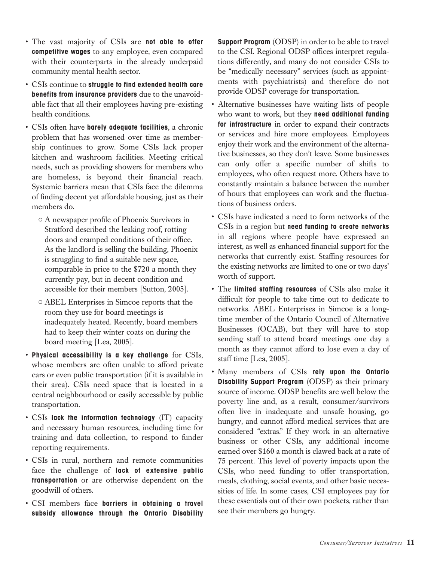- The vast majority of CSIs are **not able to offer competitive wages** to any employee, even compared with their counterparts in the already underpaid community mental health sector.
- CSIs continue to **struggle to find extended health care benefits from insurance providers** due to the unavoidable fact that all their employees having pre-existing health conditions.
- CSIs often have **barely adequate facilities**, a chronic problem that has worsened over time as membership continues to grow. Some CSIs lack proper kitchen and washroom facilities. Meeting critical needs, such as providing showers for members who are homeless, is beyond their financial reach. Systemic barriers mean that CSIs face the dilemma of finding decent yet affordable housing, just as their members do.
	- $\circ$  A newspaper profile of Phoenix Survivors in Stratford described the leaking roof, rotting doors and cramped conditions of their office. As the landlord is selling the building, Phoenix is struggling to find a suitable new space, comparable in price to the \$720 a month they currently pay, but in decent condition and accessible for their members [Sutton, 2005].
	- { ABEL Enterprises in Simcoe reports that the room they use for board meetings is inadequately heated. Recently, board members had to keep their winter coats on during the board meeting [Lea, 2005].
- **Physical accessibility is a key challenge** for CSIs, whose members are often unable to afford private cars or even public transportation (if it is available in their area). CSIs need space that is located in a central neighbourhood or easily accessible by public transportation.
- CSIs **lack the information technology** (IT) capacity and necessary human resources, including time for training and data collection, to respond to funder reporting requirements.
- CSIs in rural, northern and remote communities face the challenge of **lack of extensive public transportation** or are otherwise dependent on the goodwill of others.
- CSI members face **barriers in obtaining a travel subsidy allowance through the Ontario Disability**

**Support Program** (ODSP) in order to be able to travel to the CSI. Regional ODSP offices interpret regulations differently, and many do not consider CSIs to be "medically necessary" services (such as appointments with psychiatrists) and therefore do not provide ODSP coverage for transportation.

- Alternative businesses have waiting lists of people who want to work, but they **need additional funding for infrastructure** in order to expand their contracts or services and hire more employees. Employees enjoy their work and the environment of the alternative businesses, so they don't leave. Some businesses can only offer a specific number of shifts to employees, who often request more. Others have to constantly maintain a balance between the number of hours that employees can work and the fluctuations of business orders.
- CSIs have indicated a need to form networks of the CSIs in a region but **need funding to create networks** in all regions where people have expressed an interest, as well as enhanced financial support for the networks that currently exist. Staffing resources for the existing networks are limited to one or two days' worth of support.
- The **limited staffing resources** of CSIs also make it difficult for people to take time out to dedicate to networks. ABEL Enterprises in Simcoe is a longtime member of the Ontario Council of Alternative Businesses (OCAB), but they will have to stop sending staff to attend board meetings one day a month as they cannot afford to lose even a day of staff time [Lea, 2005].
- Many members of CSIs **rely upon the Ontario Disability Support Program** (ODSP) as their primary source of income. ODSP benefits are well below the poverty line and, as a result, consumer/survivors often live in inadequate and unsafe housing, go hungry, and cannot afford medical services that are considered "extras." If they work in an alternative business or other CSIs, any additional income earned over \$160 a month is clawed back at a rate of 75 percent. This level of poverty impacts upon the CSIs, who need funding to offer transportation, meals, clothing, social events, and other basic necessities of life. In some cases, CSI employees pay for these essentials out of their own pockets, rather than see their members go hungry.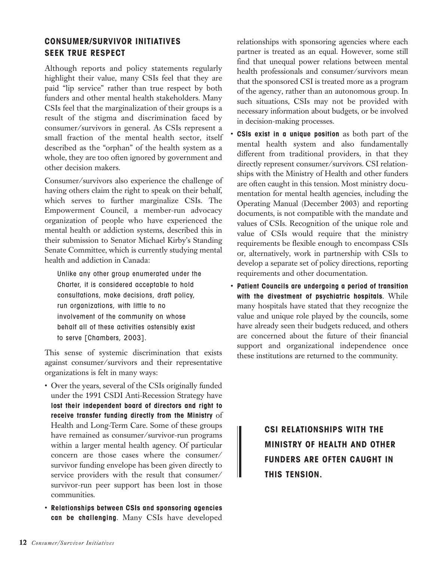#### **CONSUMER/SURVIVOR INITIATIVES SEEK TRUE RESPECT**

Although reports and policy statements regularly highlight their value, many CSIs feel that they are paid "lip service" rather than true respect by both funders and other mental health stakeholders. Many CSIs feel that the marginalization of their groups is a result of the stigma and discrimination faced by consumer/survivors in general. As CSIs represent a small fraction of the mental health sector, itself described as the "orphan" of the health system as a whole, they are too often ignored by government and other decision makers.

Consumer/survivors also experience the challenge of having others claim the right to speak on their behalf, which serves to further marginalize CSIs. The Empowerment Council, a member-run advocacy organization of people who have experienced the mental health or addiction systems, described this in their submission to Senator Michael Kirby's Standing Senate Committee, which is currently studying mental health and addiction in Canada:

Unlike any other group enumerated under the Charter, it is considered acceptable to hold consultations, make decisions, draft policy, run organizations, with little to no involvement of the community on whose behalf all of these activities ostensibly exist to serve [Chambers, 2003].

This sense of systemic discrimination that exists against consumer/survivors and their representative organizations is felt in many ways:

- Over the years, several of the CSIs originally funded under the 1991 CSDI Anti-Recession Strategy have **lost their independent board of directors and right to receive transfer funding directly from the Ministry** of Health and Long-Term Care. Some of these groups have remained as consumer/survivor-run programs within a larger mental health agency. Of particular concern are those cases where the consumer/ survivor funding envelope has been given directly to service providers with the result that consumer/ survivor-run peer support has been lost in those communities.
- **Relationships between CSIs and sponsoring agencies can be challenging**. Many CSIs have developed

relationships with sponsoring agencies where each partner is treated as an equal. However, some still find that unequal power relations between mental health professionals and consumer/survivors mean that the sponsored CSI is treated more as a program of the agency, rather than an autonomous group. In such situations, CSIs may not be provided with necessary information about budgets, or be involved in decision-making processes.

- **CSIs exist in a unique position** as both part of the mental health system and also fundamentally different from traditional providers, in that they directly represent consumer/survivors. CSI relationships with the Ministry of Health and other funders are often caught in this tension. Most ministry documentation for mental health agencies, including the Operating Manual (December 2003) and reporting documents, is not compatible with the mandate and values of CSIs. Recognition of the unique role and value of CSIs would require that the ministry requirements be flexible enough to encompass CSIs or, alternatively, work in partnership with CSIs to develop a separate set of policy directions, reporting requirements and other documentation.
- **Patient Councils are undergoing a period of transition with the divestment of psychiatric hospitals**. While many hospitals have stated that they recognize the value and unique role played by the councils, some have already seen their budgets reduced, and others are concerned about the future of their financial support and organizational independence once these institutions are returned to the community.

**CSI RELATIONSHIPS WITH THE MINISTRY OF HEALTH AND OTHER FUNDERS ARE OFTEN CAUGHT IN THIS TENSION.**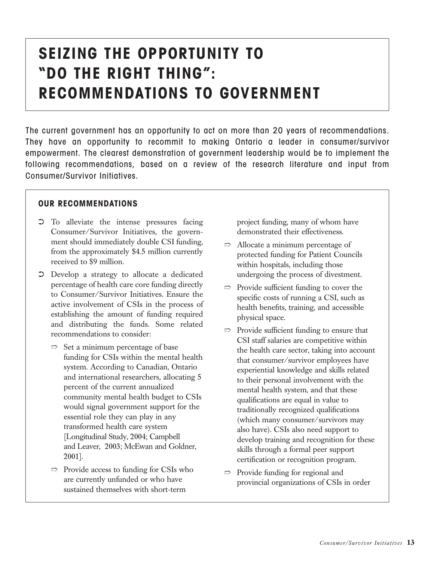# **SEIZING THE OPPORTUNITY TO "DO THE RIGHT THING": RECOMMENDATIONS TO GOVERNMENT**

The current government has an opportunity to act on more than 20 years of recommendations. They have an opportunity to recommit to making Ontario a leader in consumer/survivor empowerment. The clearest demonstration of government leadership would be to implement the following recommendations, based on a review of the research literature and input from Consumer/Survivor Initiatives.

#### **OUR RECOMMENDATIONS**

- ➲ To alleviate the intense pressures facing Consumer/Survivor Initiatives, the government should immediately double CSI funding, from the approximately \$4.5 million currently received to \$9 million.
- ➲ Develop a strategy to allocate a dedicated percentage of health care core funding directly to Consumer/Survivor Initiatives. Ensure the active involvement of CSIs in the process of establishing the amount of funding required and distributing the funds. Some related recommendations to consider:
	- $\Rightarrow$  Set a minimum percentage of base funding for CSIs within the mental health system. According to Canadian, Ontario and international researchers, allocating 5 percent of the current annualized community mental health budget to CSIs would signal government support for the essential role they can play in any transformed health care system [Longitudinal Study, 2004; Campbell and Leaver, 2003; McEwan and Goldner, 2001].
	- $\Rightarrow$  Provide access to funding for CSIs who are currently unfunded or who have sustained themselves with short-term

project funding, many of whom have demonstrated their effectiveness.

- $\Rightarrow$  Allocate a minimum percentage of protected funding for Patient Councils within hospitals, including those undergoing the process of divestment.
- $\Rightarrow$  Provide sufficient funding to cover the specific costs of running a CSI, such as health benefits, training, and accessible physical space.
- $\Rightarrow$  Provide sufficient funding to ensure that CSI staff salaries are competitive within the health care sector, taking into account that consumer/survivor employees have experiential knowledge and skills related to their personal involvement with the mental health system, and that these qualifications are equal in value to traditionally recognized qualifications (which many consumer/survivors may also have). CSIs also need support to develop training and recognition for these skills through a formal peer support certification or recognition program.
- $\Rightarrow$  Provide funding for regional and provincial organizations of CSIs in order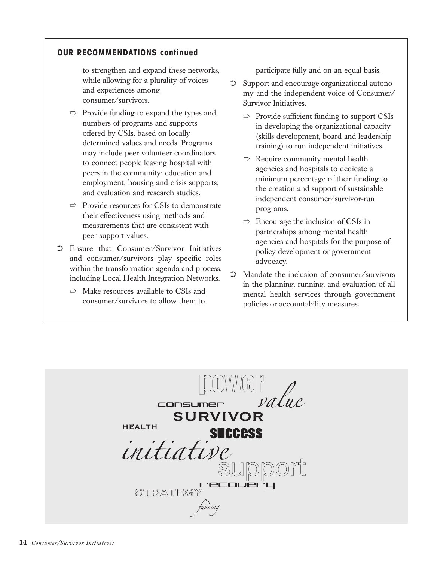#### **OUR RECOMMENDATIONS continued**

to strengthen and expand these networks, while allowing for a plurality of voices and experiences among consumer/survivors.

- $\Rightarrow$  Provide funding to expand the types and numbers of programs and supports offered by CSIs, based on locally determined values and needs. Programs may include peer volunteer coordinators to connect people leaving hospital with peers in the community; education and employment; housing and crisis supports; and evaluation and research studies.
- $\Rightarrow$  Provide resources for CSIs to demonstrate their effectiveness using methods and measurements that are consistent with peer-support values.
- ➲ Ensure that Consumer/Survivor Initiatives and consumer/survivors play specific roles within the transformation agenda and process, including Local Health Integration Networks.
	- $\Rightarrow$  Make resources available to CSIs and consumer/survivors to allow them to

participate fully and on an equal basis.

- ➲ Support and encourage organizational autonomy and the independent voice of Consumer/ Survivor Initiatives.
	- $\Rightarrow$  Provide sufficient funding to support CSIs in developing the organizational capacity (skills development, board and leadership training) to run independent initiatives.
	- $\Rightarrow$  Require community mental health agencies and hospitals to dedicate a minimum percentage of their funding to the creation and support of sustainable independent consumer/survivor-run programs.
	- $\Rightarrow$  Encourage the inclusion of CSIs in partnerships among mental health agencies and hospitals for the purpose of policy development or government advocacy.
- ➲ Mandate the inclusion of consumer/survivors in the planning, running, and evaluation of all mental health services through government policies or accountability measures.

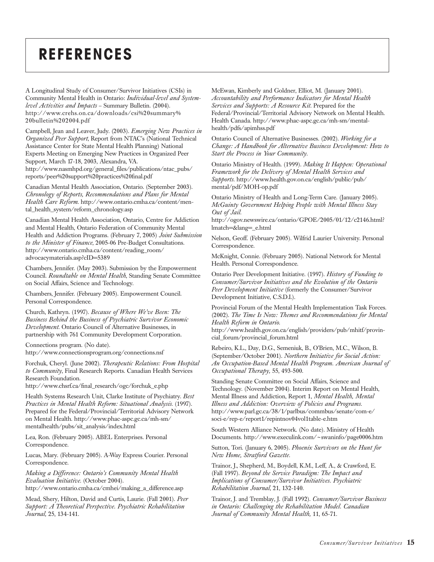## **REFERENCES**

A Longitudinal Study of Consumer/Survivor Initiatives (CSIs) in Community Mental Health in Ontario: *Individual-level and Systemlevel Activities and Impacts* – Summary Bulletin. (2004). http://www.crehs.on.ca/downloads/csi%20summary% 20bulletin%202004.pdf

Campbell, Jean and Leaver, Judy. (2003). *Emerging New Practices in Organized Peer Support*, Report from NTAC's (National Technical Assistance Center for State Mental Health Planning) National Experts Meeting on Emerging New Practices in Organized Peer Support, March 17-18, 2003, Alexandra, VA. http://www.nasmhpd.org/general\_files/publications/ntac\_pubs/ reports/peer%20support%20practices%20final.pdf

Canadian Mental Health Association, Ontario. (September 2003). *Chronology of Reports, Recommendations and Plans for Mental Health Care Reform*. http://www.ontario.cmha.ca/content/mental\_health\_system/reform\_chronology.asp

Canadian Mental Health Association, Ontario, Centre for Addiction and Mental Health, Ontario Federation of Community Mental Health and Addiction Programs. (February 7, 2005) *Joint Submission to the Minister of Finance*, 2005-06 Pre-Budget Consultations. http://www.ontario.cmha.ca/content/reading\_room/ advocacymaterials.asp?cID=5389

Chambers, Jennifer. (May 2003). Submission by the Empowerment Council. *Roundtable on Mental Health*, Standing Senate Committee on Social Affairs, Science and Technology.

Chambers, Jennifer. (February 2005). Empowerment Council. Personal Correspondence.

Church, Kathryn. (1997). *Because of Where We've Been: The Business Behind the Business of Psychiatric Survivor Economic Development*. Ontario Council of Alternative Businesses, in partnership with 761 Community Development Corporation.

Connections program. (No date).

http://www.connectionsprogram.org/connections.nsf

Forchuk, Cheryl. (June 2002). *Therapeutic Relations: From Hospital to Community*, Final Research Reports. Canadian Health Services Research Foundation.

http://www.chsrf.ca/final\_research/ogc/forchuk\_e.php

Health Systems Research Unit, Clarke Institute of Psychiatry. *Best Practices in Mental Health Reform: Situational Analysis*. (1997). Prepared for the Federal/Provincial/Territorial Advisory Network on Mental Health. http://www.phac-aspc.gc.ca/mh-sm/ mentalhealth/pubs/sit\_analysis/index.html

Lea, Ron. (February 2005). ABEL Enterprises. Personal Correspondence.

Lucas, Mary. (February 2005). A-Way Express Courier. Personal Correspondence.

*Making a Difference: Ontario's Community Mental Health Evaluation Initiative*. (October 2004).

http://www.ontario.cmha.ca/cmhei/making\_a\_difference.asp

Mead, Shery, Hilton, David and Curtis, Laurie. (Fall 2001). *Peer Support: A Theoretical Perspective. Psychiatric Rehabilitation Journal,* 25, 134-141.

McEwan, Kimberly and Goldner, Elliot, M. (January 2001). *Accountability and Performance Indicators for Mental Health Services and Supports: A Resource Kit*. Prepared for the Federal/Provincial/Territorial Advisory Network on Mental Health. Health Canada. http://www.phac-aspc.gc.ca/mh-sm/mentalhealth/pdfs/apimhss.pdf

Ontario Council of Alternative Businesses. (2002). *Working for a Change: A Handbook for Alternative Business Development: How to Start the Process in Your Community*.

Ontario Ministry of Health. (1999). *Making It Happen: Operational Framework for the Delivery of Mental Health Services and Supports*. http://www.health.gov.on.ca/english/public/pub/ mental/pdf/MOH-op.pdf

Ontario Ministry of Health and Long-Term Care. (January 2005). *McGuinty Government Helping People with Mental Illness Stay Out of Jail*.

http://ogov.newswire.ca/ontario/GPOE/2005/01/12/c2146.html? lmatch=&lang=\_e.html

Nelson, Geoff. (February 2005). Wilfrid Laurier University. Personal Correspondence.

McKnight, Connie. (February 2005). National Network for Mental Health. Personal Correspondence.

Ontario Peer Development Initiative. (1997). *History of Funding to Consumer/Survivor Initiatives and the Evolution of the Ontario Peer Development Initiative* (formerly the Consumer/Survivor Development Initiative, C.S.D.I.).

Provincial Forum of the Mental Health Implementation Task Forces. (2002). *The Time Is Now: Themes and Recommendations for Mental Health Reform in Ontario*.

http://www.health.gov.on.ca/english/providers/pub/mhitf/provincial\_forum/provincial\_forum.html

Rebeiro, K.L., Day, D.G., Semeniuk, B., O'Brien, M.C., Wilson, B. (September/October 2001). *Northern Initiative for Social Action: An Occupation-Based Mental Health Program. American Journal of Occupational Therapy,* 55, 493-500.

Standing Senate Committee on Social Affairs, Science and Technology. (November 2004). Interim Report on Mental Health, Mental Illness and Addiction, Report 1, *Mental Health, Mental Illness and Addiction: Overview of Policies and Programs*. http://www.parl.gc.ca/38/1/parlbus/commbus/senate/com-e/ soci-e/rep-e/report1/repintnov04vol1table-e.htm

South Western Alliance Network. (No date). Ministry of Health Documents. http://www.execulink.com/~swaninfo/page0006.htm

Sutton, Tori. (January 6, 2005). *Phoenix Survivors on the Hunt for New Home, Stratford Gazette*.

Trainor, J., Shepherd, M., Boydell, K.M., Leff, A., & Crawford, E. (Fall 1997). *Beyond the Service Paradigm: The Impact and Implications of Consumer/Survivor Initiatives. Psychiatric Rehabilitation Journal*, 21, 132-140.

Trainor, J. and Tremblay, J. (Fall 1992). *Consumer/Survivor Business in Ontario: Challenging the Rehabilitation Model. Canadian Journal of Community Mental Health,* 11, 65-71.